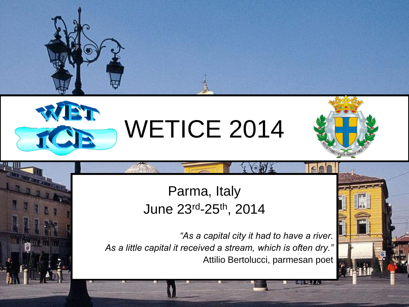



# WETICE 2014



#### Parma, Italy June 23rd-25th, 2014

*"As a capital city it had to have a river. As a little capital it received a stream, which is often dry."* Attilio Bertolucci, parmesan poet

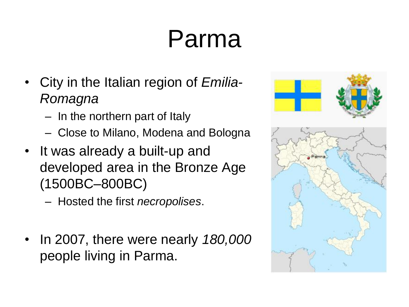### Parma

- City in the Italian region of *Emilia-Romagna*
	- In the northern part of Italy
	- Close to Milano, Modena and Bologna
- It was already a built-up and developed area in the Bronze Age (1500BC–800BC)
	- Hosted the first *necropolises*.
- In 2007, there were nearly *180,000* people living in Parma.

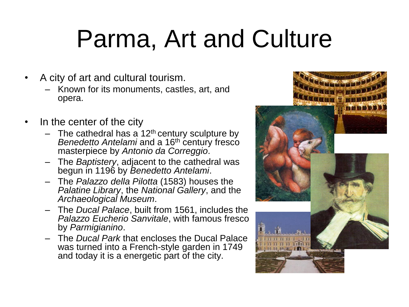### Parma, Art and Culture

- A city of art and cultural tourism.
	- Known for its monuments, castles, art, and opera.
- In the center of the city
	- $-$  The cathedral has a 12<sup>th</sup> century sculpture by *Benedetto Antelami* and a 16<sup>th</sup> century fresco masterpiece by *Antonio da Correggio*.
	- The *Baptistery*, adjacent to the cathedral was begun in 1196 by *Benedetto Antelami*.
	- The *Palazzo della Pilotta* (1583) houses the *Palatine Library*, the *National Gallery*, and the *Archaeological Museum*.
	- The *Ducal Palace*, built from 1561, includes the *Palazzo Eucherio Sanvitale*, with famous fresco by *Parmigianino*.
	- The *Ducal Park* that encloses the Ducal Palace was turned into a French-style garden in 1749 and today it is a energetic part of the city.

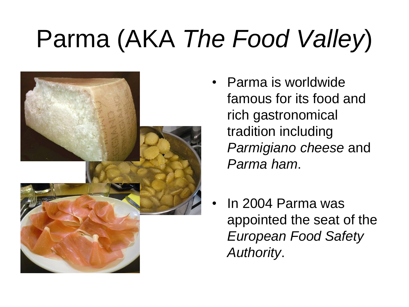## Parma (AKA *The Food Valley*)



- Parma is worldwide famous for its food and rich gastronomical tradition including *Parmigiano cheese* and *Parma ham*.
- In 2004 Parma was appointed the seat of the *European Food Safety Authority*.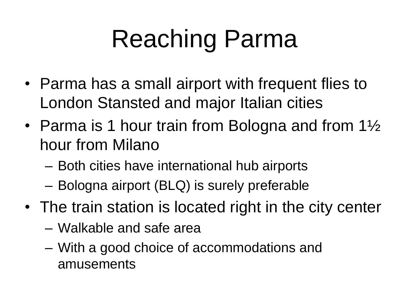## Reaching Parma

- Parma has a small airport with frequent flies to London Stansted and major Italian cities
- Parma is 1 hour train from Bologna and from  $1\frac{1}{2}$ hour from Milano
	- Both cities have international hub airports
	- Bologna airport (BLQ) is surely preferable
- The train station is located right in the city center
	- Walkable and safe area
	- With a good choice of accommodations and amusements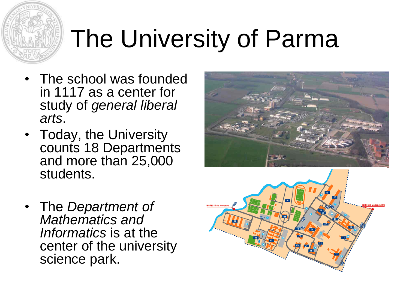# The University of Parma

- The school was founded in 1117 as a center for study of *general liberal arts*.
- Today, the University counts 18 Departments and more than 25,000 students.
- The *Department of Mathematics and Informatics* is at the center of the university science park.



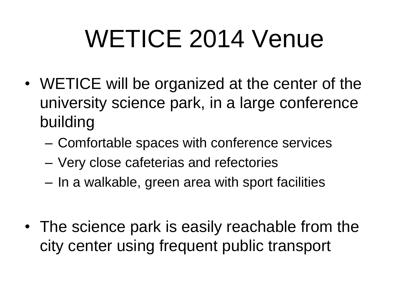## WETICE 2014 Venue

- WETICE will be organized at the center of the university science park, in a large conference building
	- Comfortable spaces with conference services
	- Very close cafeterias and refectories
	- In a walkable, green area with sport facilities
- The science park is easily reachable from the city center using frequent public transport